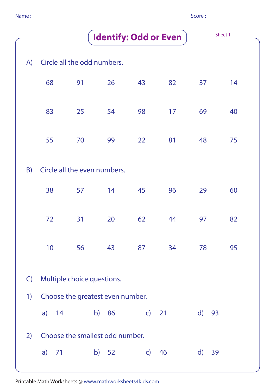|  | Name |  |
|--|------|--|
|  |      |  |
|  |      |  |

|   |        |   |    | × |  |
|---|--------|---|----|---|--|
|   |        |   |    |   |  |
| ٠ | ×<br>٠ | i | ۰, |   |  |

|              |                                  |                                 |       | <b>Identify: Odd or Even</b> |    |                    | Sheet 1 |  |
|--------------|----------------------------------|---------------------------------|-------|------------------------------|----|--------------------|---------|--|
| A)           |                                  | Circle all the odd numbers.     |       |                              |    |                    |         |  |
|              | 68                               | 91                              | 26    | 43                           | 82 | 37                 | 14      |  |
|              | 83                               | 25                              | 54    | 98                           | 17 | 69                 | 40      |  |
|              | 55                               | 70                              | 99    | 22                           | 81 | 48                 | 75      |  |
| B)           |                                  | Circle all the even numbers.    |       |                              |    |                    |         |  |
|              | 38                               | 57                              | 14    | 45                           | 96 | 29                 | 60      |  |
|              | 72                               | 31                              | 20    | 62                           | 44 | 97                 | 82      |  |
|              | 10 <sup>°</sup>                  | 56 43 87 34                     |       |                              |    | 78                 | 95      |  |
| $\mathsf{C}$ | Multiple choice questions.       |                                 |       |                              |    |                    |         |  |
| 1)           | Choose the greatest even number. |                                 |       |                              |    |                    |         |  |
|              |                                  | a) 14 b) 86                     |       | $\overline{c}$ 21            |    | $\mathsf{d}$<br>93 |         |  |
| 2)           |                                  | Choose the smallest odd number. |       |                              |    |                    |         |  |
|              | a) 71                            |                                 | b) 52 | $\mathsf{C}$                 | 46 | $\mathsf{d}$<br>39 |         |  |